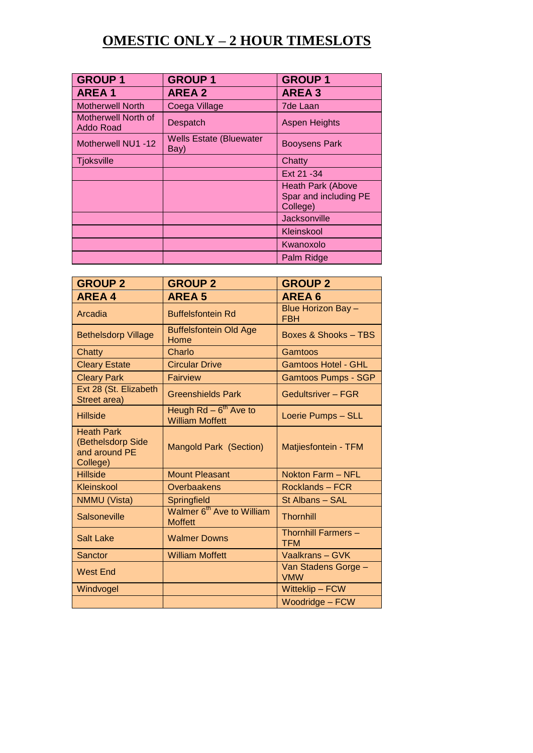# **OMESTIC ONLY – 2 HOUR TIMESLOTS**

| <b>GROUP1</b>                    | <b>GROUP1</b>                          | <b>GROUP1</b>                                          |
|----------------------------------|----------------------------------------|--------------------------------------------------------|
| <b>AREA1</b>                     | <b>AREA 2</b>                          | <b>AREA3</b>                                           |
| <b>Motherwell North</b>          | Coega Village                          | <b>7de Laan</b>                                        |
| Motherwell North of<br>Addo Road | <b>Despatch</b>                        | <b>Aspen Heights</b>                                   |
| Motherwell NU1 -12               | <b>Wells Estate (Bluewater</b><br>Bay) | <b>Booysens Park</b>                                   |
| <b>Tjoksville</b>                |                                        | Chatty                                                 |
|                                  |                                        | Ext 21 - 34                                            |
|                                  |                                        | Heath Park (Above<br>Spar and including PE<br>College) |
|                                  |                                        | Jacksonville                                           |
|                                  |                                        | Kleinskool                                             |
|                                  |                                        | Kwanoxolo                                              |
|                                  |                                        | Palm Ridge                                             |

| <b>GROUP 2</b>                                                      | <b>GROUP 2</b>                                          | <b>GROUP 2</b>                           |
|---------------------------------------------------------------------|---------------------------------------------------------|------------------------------------------|
| <b>AREA4</b>                                                        | <b>AREA 5</b>                                           | <b>AREA6</b>                             |
| Arcadia                                                             | <b>Buffelsfontein Rd</b>                                | Blue Horizon Bay -<br><b>FBH</b>         |
| <b>Bethelsdorp Village</b>                                          | <b>Buffelsfontein Old Age</b><br>Home                   | Boxes & Shooks - TBS                     |
| Chatty                                                              | Charlo                                                  | Gamtoos                                  |
| <b>Cleary Estate</b>                                                | <b>Circular Drive</b>                                   | <b>Gamtoos Hotel - GHL</b>               |
| <b>Cleary Park</b>                                                  | <b>Fairview</b>                                         | <b>Gamtoos Pumps - SGP</b>               |
| Ext 28 (St. Elizabeth<br>Street area)                               | <b>Greenshields Park</b>                                | <b>Gedultsriver - FGR</b>                |
| <b>Hillside</b>                                                     | Heugh $Rd - 6^{th}$ Ave to<br><b>William Moffett</b>    | Loerie Pumps - SLL                       |
| <b>Heath Park</b><br>(Bethelsdorp Side<br>and around PE<br>College) | <b>Mangold Park (Section)</b>                           | Matjiesfontein - TFM                     |
| <b>Hillside</b>                                                     | <b>Mount Pleasant</b>                                   | Nokton Farm - NFL                        |
| Kleinskool                                                          | <b>Overbaakens</b>                                      | Rocklands-FCR                            |
| <b>NMMU (Vista)</b>                                                 | <b>Springfield</b>                                      | St Albans - SAL                          |
| <b>Salsoneville</b>                                                 | Walmer 6 <sup>th</sup> Ave to William<br><b>Moffett</b> | <b>Thornhill</b>                         |
| <b>Salt Lake</b>                                                    | <b>Walmer Downs</b>                                     | <b>Thornhill Farmers -</b><br><b>TFM</b> |
| Sanctor                                                             | <b>William Moffett</b>                                  | Vaalkrans - GVK                          |
| <b>West End</b>                                                     |                                                         | Van Stadens Gorge -<br><b>VMW</b>        |
| Windvogel                                                           |                                                         | Witteklip - FCW                          |
|                                                                     |                                                         | Woodridge - FCW                          |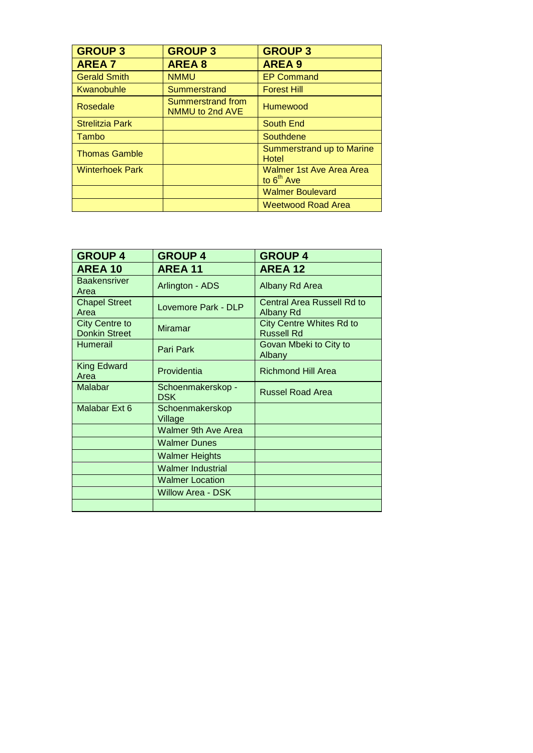| <b>GROUP 3</b>         | <b>GROUP 3</b>                       | <b>GROUP 3</b>                           |
|------------------------|--------------------------------------|------------------------------------------|
| <b>AREA 7</b>          | <b>AREA 8</b>                        | <b>AREA 9</b>                            |
| <b>Gerald Smith</b>    | <b>NMMU</b>                          | <b>EP Command</b>                        |
| Kwanobuhle             | Summerstrand                         | <b>Forest Hill</b>                       |
| Rosedale               | Summerstrand from<br>NMMU to 2nd AVE | <b>Humewood</b>                          |
| <b>Strelitzia Park</b> |                                      | South End                                |
| Tambo                  |                                      | Southdene                                |
| <b>Thomas Gamble</b>   |                                      | Summerstrand up to Marine<br>Hotel       |
| <b>Winterhoek Park</b> |                                      | Walmer 1st Ave Area Area<br>to $6th$ Ave |
|                        |                                      | <b>Walmer Boulevard</b>                  |
|                        |                                      | <b>Weetwood Road Area</b>                |

| <b>GROUP 4</b>                                | <b>GROUP 4</b>                  | <b>GROUP 4</b>                                       |
|-----------------------------------------------|---------------------------------|------------------------------------------------------|
| <b>AREA 10</b>                                | <b>AREA 11</b>                  | <b>AREA 12</b>                                       |
| <b>Baakensriver</b><br>Area                   | Arlington - ADS                 | Albany Rd Area                                       |
| <b>Chapel Street</b><br>Area                  | Lovemore Park - DLP             | Central Area Russell Rd to<br><b>Albany Rd</b>       |
| <b>City Centre to</b><br><b>Donkin Street</b> | <b>Miramar</b>                  | <b>City Centre Whites Rd to</b><br><b>Russell Rd</b> |
| Humerail                                      | Pari Park                       | Govan Mbeki to City to<br>Albany                     |
| <b>King Edward</b><br>Area                    | Providentia                     | <b>Richmond Hill Area</b>                            |
| <b>Malabar</b>                                | Schoenmakerskop -<br><b>DSK</b> | <b>Russel Road Area</b>                              |
| Malabar Ext 6                                 | Schoenmakerskop<br>Village      |                                                      |
|                                               | <b>Walmer 9th Ave Area</b>      |                                                      |
|                                               | <b>Walmer Dunes</b>             |                                                      |
|                                               | <b>Walmer Heights</b>           |                                                      |
|                                               | <b>Walmer Industrial</b>        |                                                      |
|                                               | <b>Walmer Location</b>          |                                                      |
|                                               | Willow Area - DSK               |                                                      |
|                                               |                                 |                                                      |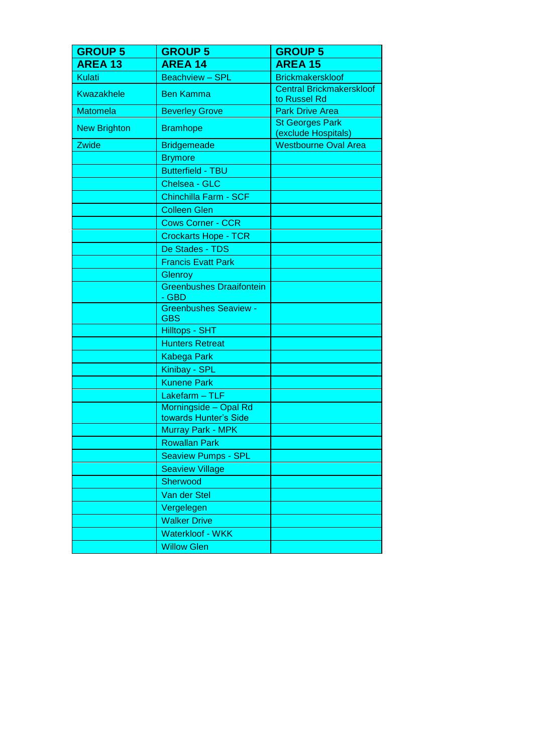| <b>GROUP 5</b>      | <b>GROUP 5</b>                                 | <b>GROUP 5</b>                                  |
|---------------------|------------------------------------------------|-------------------------------------------------|
| <b>AREA 13</b>      | <b>AREA 14</b>                                 | <b>AREA 15</b>                                  |
| <b>Kulati</b>       | <b>Beachview - SPL</b>                         | <b>Brickmakerskloof</b>                         |
| <b>Kwazakhele</b>   | <b>Ben Kamma</b>                               | <b>Central Brickmakerskloof</b><br>to Russel Rd |
| <b>Matomela</b>     | <b>Beverley Grove</b>                          | <b>Park Drive Area</b>                          |
| <b>New Brighton</b> | <b>Bramhope</b>                                | <b>St Georges Park</b><br>(exclude Hospitals)   |
| Zwide               | <b>Bridgemeade</b>                             | <b>Westbourne Oval Area</b>                     |
|                     | <b>Brymore</b>                                 |                                                 |
|                     | <b>Butterfield - TBU</b>                       |                                                 |
|                     | Chelsea - GLC                                  |                                                 |
|                     | Chinchilla Farm - SCF                          |                                                 |
|                     | <b>Colleen Glen</b>                            |                                                 |
|                     | <b>Cows Corner - CCR</b>                       |                                                 |
|                     | <b>Crockarts Hope - TCR</b>                    |                                                 |
|                     | De Stades - TDS                                |                                                 |
|                     | <b>Francis Evatt Park</b>                      |                                                 |
|                     | Glenroy                                        |                                                 |
|                     | <b>Greenbushes Draaifontein</b><br>- GBD       |                                                 |
|                     | <b>Greenbushes Seaview -</b><br><b>GBS</b>     |                                                 |
|                     | <b>Hilltops - SHT</b>                          |                                                 |
|                     | <b>Hunters Retreat</b>                         |                                                 |
|                     | <b>Kabega Park</b>                             |                                                 |
|                     | Kinibay - SPL                                  |                                                 |
|                     | <b>Kunene Park</b>                             |                                                 |
|                     | Lakefarm - TLF                                 |                                                 |
|                     | Morningside - Opal Rd<br>towards Hunter's Side |                                                 |
|                     | <b>Murray Park - MPK</b>                       |                                                 |
|                     | <b>Rowallan Park</b>                           |                                                 |
|                     | <b>Seaview Pumps - SPL</b>                     |                                                 |
|                     | <b>Seaview Village</b>                         |                                                 |
|                     | Sherwood                                       |                                                 |
|                     | Van der Stel                                   |                                                 |
|                     | Vergelegen                                     |                                                 |
|                     | <b>Walker Drive</b>                            |                                                 |
|                     | Waterkloof - WKK                               |                                                 |
|                     | <b>Willow Glen</b>                             |                                                 |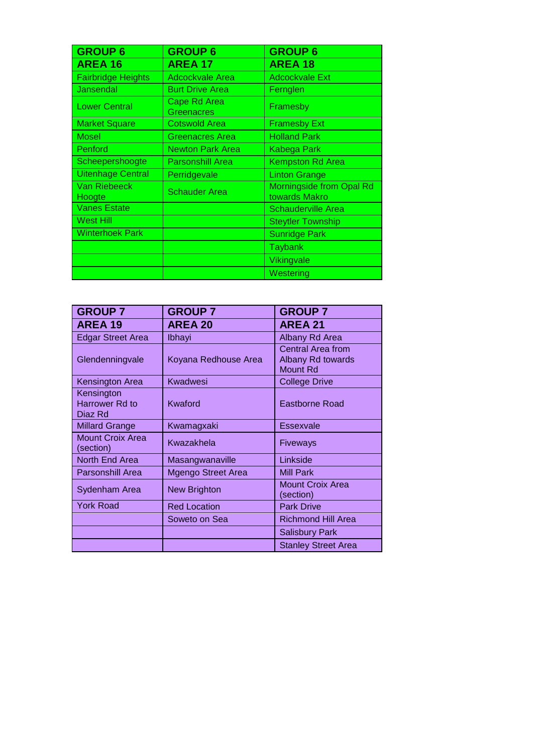| <b>GROUP 6</b>            | <b>GROUP 6</b>                           | <b>GROUP 6</b>                                   |
|---------------------------|------------------------------------------|--------------------------------------------------|
| <b>AREA 16</b>            | <b>AREA 17</b>                           | <b>AREA 18</b>                                   |
| <b>Fairbridge Heights</b> | <b>Adcockvale Area</b>                   | <b>Adcockvale Ext</b>                            |
| Jansendal                 | <b>Burt Drive Area</b>                   | Fernglen                                         |
| <b>Lower Central</b>      | <b>Cape Rd Area</b><br><b>Greenacres</b> | Framesby                                         |
| <b>Market Square</b>      | <b>Cotswold Area</b>                     | <b>Framesby Ext</b>                              |
| <b>Mosel</b>              | <b>Greenacres Area</b>                   | <b>Holland Park</b>                              |
| Penford                   | <b>Newton Park Area</b>                  | Kabega Park                                      |
| Scheepershoogte           | <b>Parsonshill Area</b>                  | <b>Kempston Rd Area</b>                          |
| <b>Uitenhage Central</b>  | Perridgevale                             | <b>Linton Grange</b>                             |
| Van Riebeeck<br>Hoogte    | <b>Schauder Area</b>                     | <b>Morningside from Opal Rd</b><br>towards Makro |
| <b>Vanes Estate</b>       |                                          | <b>Schauderville Area</b>                        |
| West Hill                 |                                          | <b>Steytler Township</b>                         |
| <b>Winterhoek Park</b>    |                                          | <b>Sunridge Park</b>                             |
|                           |                                          | <b>Taybank</b>                                   |
|                           |                                          | Vikingvale                                       |
|                           |                                          | Westering                                        |

| <b>GROUP 7</b>                                 | <b>GROUP 7</b>            | <b>GROUP 7</b>                                                   |
|------------------------------------------------|---------------------------|------------------------------------------------------------------|
| <b>AREA 19</b>                                 | <b>AREA 20</b>            | <b>AREA 21</b>                                                   |
| <b>Edgar Street Area</b>                       | <b>Ibhayi</b>             | Albany Rd Area                                                   |
| Glendenningvale                                | Koyana Redhouse Area      | <b>Central Area from</b><br>Albany Rd towards<br><b>Mount Rd</b> |
| Kensington Area                                | Kwadwesi                  | <b>College Drive</b>                                             |
| Kensington<br><b>Harrower Rd to</b><br>Diaz Rd | Kwaford                   | <b>Eastborne Road</b>                                            |
| <b>Millard Grange</b>                          | Kwamagxaki                | Essexvale                                                        |
| <b>Mount Croix Area</b><br>(section)           | Kwazakhela                | Fiveways                                                         |
| North End Area                                 | Masangwanaville           | Linkside                                                         |
| <b>Parsonshill Area</b>                        | <b>Mgengo Street Area</b> | <b>Mill Park</b>                                                 |
| Sydenham Area                                  | <b>New Brighton</b>       | <b>Mount Croix Area</b><br>(section)                             |
| <b>York Road</b>                               | <b>Red Location</b>       | <b>Park Drive</b>                                                |
|                                                | Soweto on Sea             | <b>Richmond Hill Area</b>                                        |
|                                                |                           | <b>Salisbury Park</b>                                            |
|                                                |                           | <b>Stanley Street Area</b>                                       |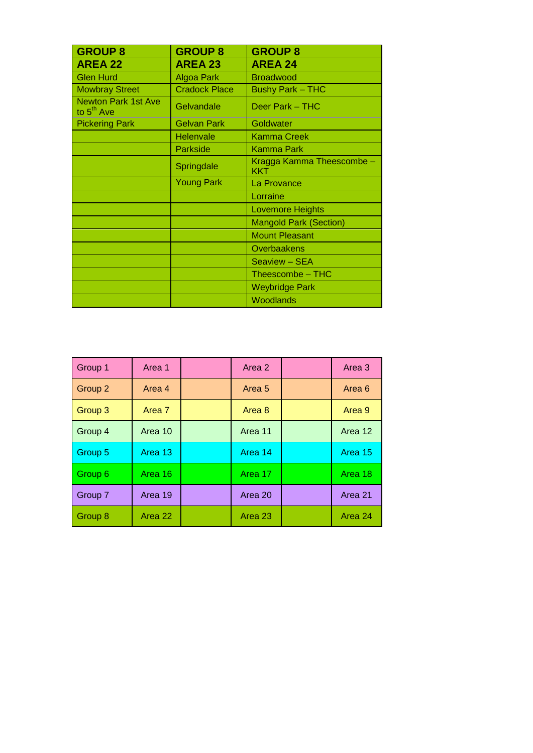| <b>GROUP 8</b>                                       | <b>GROUP 8</b>       | <b>GROUP 8</b>                   |
|------------------------------------------------------|----------------------|----------------------------------|
| <b>AREA 22</b>                                       | <b>AREA 23</b>       | <b>AREA 24</b>                   |
| <b>Glen Hurd</b>                                     | <b>Algoa Park</b>    | <b>Broadwood</b>                 |
| <b>Mowbray Street</b>                                | <b>Cradock Place</b> | <b>Bushy Park - THC</b>          |
| <b>Newton Park 1st Ave</b><br>to 5 <sup>th</sup> Ave | Gelvandale           | Deer Park – THC                  |
| <b>Pickering Park</b>                                | <b>Gelvan Park</b>   | Goldwater                        |
|                                                      | Helenvale            | <b>Kamma Creek</b>               |
|                                                      | <b>Parkside</b>      | <b>Kamma Park</b>                |
|                                                      | Springdale           | Kragga Kamma Theescombe -<br>KKT |
|                                                      | <b>Young Park</b>    | La Provance                      |
|                                                      |                      | Lorraine                         |
|                                                      |                      | <b>Lovemore Heights</b>          |
|                                                      |                      | <b>Mangold Park (Section)</b>    |
|                                                      |                      | <b>Mount Pleasant</b>            |
|                                                      |                      | Overbaakens                      |
|                                                      |                      | Seaview - SEA                    |
|                                                      |                      | Theescombe - THC                 |
|                                                      |                      | <b>Weybridge Park</b>            |
|                                                      |                      | Woodlands                        |

| Group 1 | Area 1  | Area 2  | Area 3  |
|---------|---------|---------|---------|
| Group 2 | Area 4  | Area 5  | Area 6  |
| Group 3 | Area 7  | Area 8  | Area 9  |
| Group 4 | Area 10 | Area 11 | Area 12 |
| Group 5 | Area 13 | Area 14 | Area 15 |
| Group 6 | Area 16 | Area 17 | Area 18 |
| Group 7 | Area 19 | Area 20 | Area 21 |
| Group 8 | Area 22 | Area 23 | Area 24 |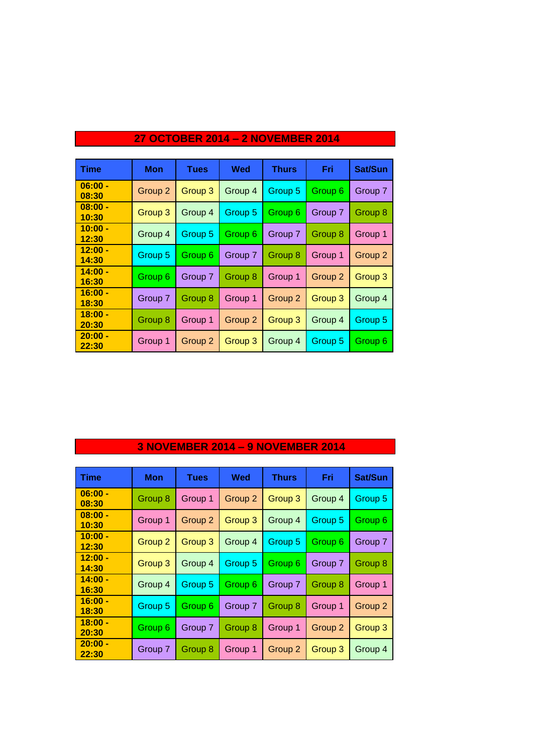| <b>Time</b>        | <b>Mon</b>         | <b>Tues</b> | Wed     | <b>Thurs</b> | Fri     | <b>Sat/Sun</b> |
|--------------------|--------------------|-------------|---------|--------------|---------|----------------|
| $06:00 -$<br>08:30 | Group 2            | Group 3     | Group 4 | Group 5      | Group 6 | Group 7        |
| $08:00 -$<br>10:30 | Group 3            | Group 4     | Group 5 | Group 6      | Group 7 | Group 8        |
| $10:00 -$<br>12:30 | Group 4            | Group 5     | Group 6 | Group 7      | Group 8 | Group 1        |
| $12:00 -$<br>14:30 | Group 5            | Group 6     | Group 7 | Group 8      | Group 1 | Group 2        |
| $14:00 -$<br>16:30 | Group <sub>6</sub> | Group 7     | Group 8 | Group 1      | Group 2 | Group 3        |
| $16:00 -$<br>18:30 | Group 7            | Group 8     | Group 1 | Group 2      | Group 3 | Group 4        |
| $18:00 -$<br>20:30 | Group 8            | Group 1     | Group 2 | Group 3      | Group 4 | Group 5        |
| $20:00 -$<br>22:30 | Group 1            | Group 2     | Group 3 | Group 4      | Group 5 | Group 6        |

### **27 OCTOBER 2014 – 2 NOVEMBER 2014**

### **3 NOVEMBER 2014 – 9 NOVEMBER 2014**

| <b>Time</b>        | <b>Mon</b>         | <b>Tues</b> | Wed     | <b>Thurs</b> | Fri                | Sat/Sun |
|--------------------|--------------------|-------------|---------|--------------|--------------------|---------|
| $06:00 -$<br>08:30 | Group 8            | Group 1     | Group 2 | Group 3      | Group 4            | Group 5 |
| $08:00 -$<br>10:30 | Group 1            | Group 2     | Group 3 | Group 4      | Group 5            | Group 6 |
| $10:00 -$<br>12:30 | Group <sub>2</sub> | Group 3     | Group 4 | Group 5      | Group 6            | Group 7 |
| $12:00 -$<br>14:30 | Group 3            | Group 4     | Group 5 | Group 6      | Group 7            | Group 8 |
| $14:00 -$<br>16:30 | Group 4            | Group 5     | Group 6 | Group 7      | Group 8            | Group 1 |
| $16:00 -$<br>18:30 | Group 5            | Group 6     | Group 7 | Group 8      | Group 1            | Group 2 |
| $18:00 -$<br>20:30 | Group 6            | Group 7     | Group 8 | Group 1      | Group <sub>2</sub> | Group 3 |
| $20:00 -$<br>22:30 | Group 7            | Group 8     | Group 1 | Group 2      | Group 3            | Group 4 |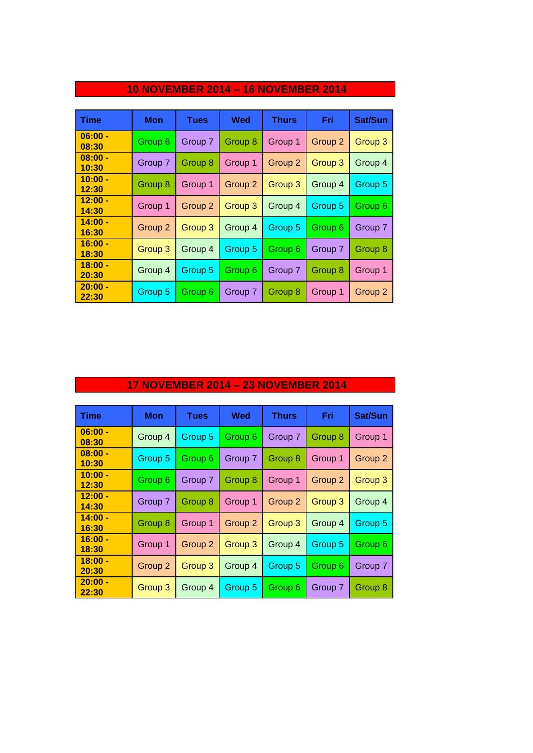| <b>Time</b>        | Mon     | Tues               | Wed     | <b>Thurs</b> | Fri     | Sat/Sun |
|--------------------|---------|--------------------|---------|--------------|---------|---------|
| $06:00 -$<br>08:30 | Group 6 | Group 7            | Group 8 | Group 1      | Group 2 | Group 3 |
| $08:00 -$<br>10:30 | Group 7 | Group 8            | Group 1 | Group 2      | Group 3 | Group 4 |
| $10:00 -$<br>12:30 | Group 8 | Group 1            | Group 2 | Group 3      | Group 4 | Group 5 |
| $12:00 -$<br>14:30 | Group 1 | Group <sub>2</sub> | Group 3 | Group 4      | Group 5 | Group 6 |
| $14:00 -$<br>16:30 | Group 2 | Group 3            | Group 4 | Group 5      | Group 6 | Group 7 |
| $16:00 -$<br>18:30 | Group 3 | Group 4            | Group 5 | Group 6      | Group 7 | Group 8 |
| $18:00 -$<br>20:30 | Group 4 | Group 5            | Group 6 | Group 7      | Group 8 | Group 1 |
| $20:00 -$<br>22:30 | Group 5 | Group 6            | Group 7 | Group 8      | Group 1 | Group 2 |

### **10 NOVEMBER 2014 – 16 NOVEMBER 2014**

### **17 NOVEMBER 2014 – 23 NOVEMBER 2014**

| <b>Time</b>        | Mon                | <b>Tues</b> | Wed     | <b>Thurs</b>       | Fri                | Sat/Sun            |
|--------------------|--------------------|-------------|---------|--------------------|--------------------|--------------------|
| $06:00 -$<br>08:30 | Group 4            | Group 5     | Group 6 | Group 7            | Group 8            | Group 1            |
| $08:00 -$<br>10:30 | Group 5            | Group 6     | Group 7 | Group 8            | Group 1            | Group <sub>2</sub> |
| $10:00 -$<br>12:30 | Group 6            | Group 7     | Group 8 | Group 1            | Group <sub>2</sub> | Group 3            |
| $12:00 -$<br>14:30 | Group 7            | Group 8     | Group 1 | Group <sub>2</sub> | Group 3            | Group 4            |
| $14:00 -$<br>16:30 | Group 8            | Group 1     | Group 2 | Group 3            | Group 4            | Group 5            |
| $16:00 -$<br>18:30 | Group 1            | Group 2     | Group 3 | Group 4            | Group 5            | Group 6            |
| $18:00 -$<br>20:30 | Group <sub>2</sub> | Group 3     | Group 4 | Group 5            | Group 6            | Group 7            |
| $20:00 -$<br>22:30 | Group 3            | Group 4     | Group 5 | Group 6            | Group 7            | Group 8            |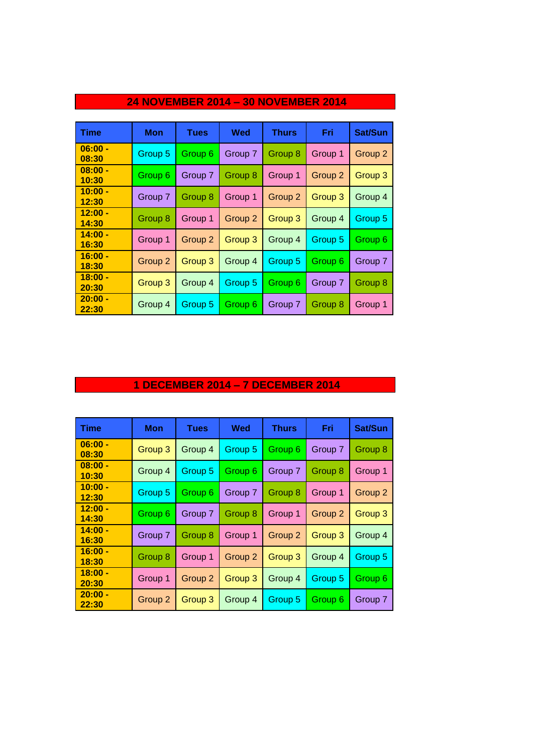| <b>Time</b>        | Mon     | <b>Tues</b> | <b>Wed</b> | <b>Thurs</b> | Fri     | Sat/Sun |
|--------------------|---------|-------------|------------|--------------|---------|---------|
| $06:00 -$<br>08:30 | Group 5 | Group 6     | Group 7    | Group 8      | Group 1 | Group 2 |
| $08:00 -$<br>10:30 | Group 6 | Group 7     | Group 8    | Group 1      | Group 2 | Group 3 |
| $10:00 -$<br>12:30 | Group 7 | Group 8     | Group 1    | Group 2      | Group 3 | Group 4 |
| $12:00 -$<br>14:30 | Group 8 | Group 1     | Group 2    | Group 3      | Group 4 | Group 5 |
| $14:00 -$<br>16:30 | Group 1 | Group 2     | Group 3    | Group 4      | Group 5 | Group 6 |
| $16:00 -$<br>18:30 | Group 2 | Group 3     | Group 4    | Group 5      | Group 6 | Group 7 |
| $18:00 -$<br>20:30 | Group 3 | Group 4     | Group 5    | Group 6      | Group 7 | Group 8 |
| $20:00 -$<br>22:30 | Group 4 | Group 5     | Group 6    | Group 7      | Group 8 | Group 1 |

## **24 NOVEMBER 2014 – 30 NOVEMBER 2014**

### **1 DECEMBER 2014 – 7 DECEMBER 2014**

| <b>Time</b>        | <b>Mon</b> | <b>Tues</b> | Wed                | <b>Thurs</b>       | Fri     | Sat/Sun |
|--------------------|------------|-------------|--------------------|--------------------|---------|---------|
| $06:00 -$<br>08:30 | Group 3    | Group 4     | Group 5            | Group 6            | Group 7 | Group 8 |
| $08:00 -$<br>10:30 | Group 4    | Group 5     | Group 6            | Group 7            | Group 8 | Group 1 |
| $10:00 -$<br>12:30 | Group 5    | Group 6     | Group 7            | Group <sup>8</sup> | Group 1 | Group 2 |
| $12:00 -$<br>14:30 | Group 6    | Group 7     | Group 8            | Group 1            | Group 2 | Group 3 |
| $14:00 -$<br>16:30 | Group 7    | Group 8     | Group 1            | Group 2            | Group 3 | Group 4 |
| $16:00 -$<br>18:30 | Group 8    | Group 1     | Group <sub>2</sub> | Group 3            | Group 4 | Group 5 |
| $18:00 -$<br>20:30 | Group 1    | Group 2     | Group 3            | Group 4            | Group 5 | Group 6 |
| $20:00 -$<br>22:30 | Group 2    | Group 3     | Group 4            | Group 5            | Group 6 | Group 7 |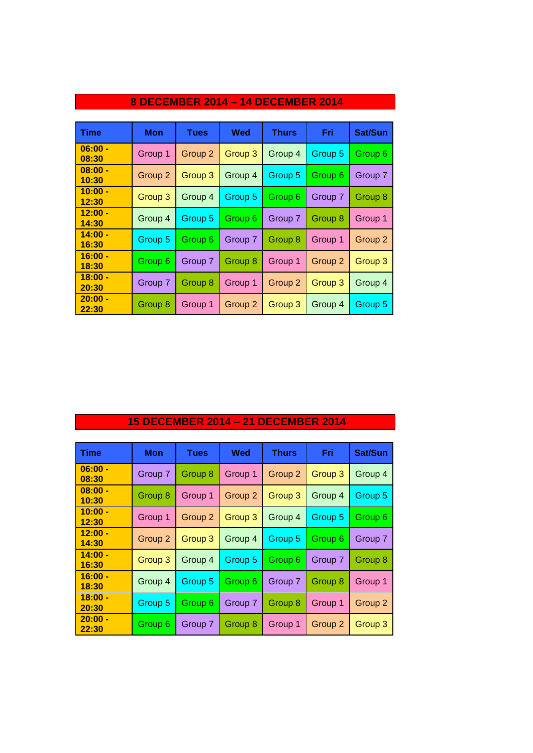| <b>Time</b>        | <b>Mon</b> | <b>Tues</b>        | <b>Wed</b> | <b>Thurs</b> | <b>Fri</b>         | Sat/Sun            |
|--------------------|------------|--------------------|------------|--------------|--------------------|--------------------|
| $06:00 -$<br>08:30 | Group 1    | Group 2            | Group 3    | Group 4      | Group 5            | Group 6            |
| $08:00 -$<br>10:30 | Group 2    | Group <sub>3</sub> | Group 4    | Group 5      | Group 6            | Group 7            |
| $10:00 -$<br>12:30 | Group 3    | Group 4            | Group 5    | Group 6      | Group 7            | Group 8            |
| $12:00 -$<br>14:30 | Group 4    | Group 5            | Group 6    | Group 7      | Group 8            | Group 1            |
| $14:00 -$<br>16:30 | Group 5    | Group 6            | Group 7    | Group 8      | Group 1            | Group <sub>2</sub> |
| $16:00 -$<br>18:30 | Group 6    | Group 7            | Group 8    | Group 1      | Group <sub>2</sub> | Group <sub>3</sub> |
| $18:00 -$<br>20:30 | Group 7    | Group 8            | Group 1    | Group 2      | Group 3            | Group 4            |
| $20:00 -$<br>22:30 | Group 8    | Group 1            | Group 2    | Group 3      | Group 4            | Group 5            |

## **8 DECEMBER 2014 – 14 DECEMBER 2014**

## **15 DECEMBER 2014 – 21 DECEMBER 2014**

| <b>Time</b>        | <b>Mon</b> | <b>Tues</b> | Wed     | <b>Thurs</b>       | Fri     | Sat/Sun |
|--------------------|------------|-------------|---------|--------------------|---------|---------|
| $06:00 -$<br>08:30 | Group 7    | Group 8     | Group 1 | Group <sub>2</sub> | Group 3 | Group 4 |
| $08:00 -$<br>10:30 | Group 8    | Group 1     | Group 2 | Group 3            | Group 4 | Group 5 |
| $10:00 -$<br>12:30 | Group 1    | Group 2     | Group 3 | Group 4            | Group 5 | Group 6 |
| $12:00 -$<br>14:30 | Group 2    | Group 3     | Group 4 | Group 5            | Group 6 | Group 7 |
| $14:00 -$<br>16:30 | Group 3    | Group 4     | Group 5 | Group 6            | Group 7 | Group 8 |
| $16:00 -$<br>18:30 | Group 4    | Group 5     | Group 6 | Group 7            | Group 8 | Group 1 |
| $18:00 -$<br>20:30 | Group 5    | Group 6     | Group 7 | Group 8            | Group 1 | Group 2 |
| $20:00 -$<br>22:30 | Group 6    | Group 7     | Group 8 | Group 1            | Group 2 | Group 3 |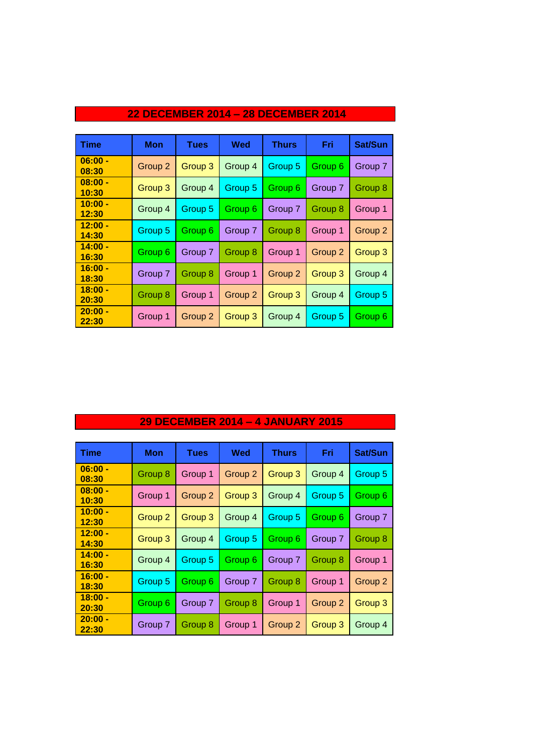| <b>Time</b>        | Mon     | <b>Tues</b> | Wed     | <b>Thurs</b>       | Fri                | Sat/Sun            |
|--------------------|---------|-------------|---------|--------------------|--------------------|--------------------|
| $06:00 -$<br>08:30 | Group 2 | Group 3     | Group 4 | Group 5            | Group 6            | Group 7            |
| $08:00 -$<br>10:30 | Group 3 | Group 4     | Group 5 | Group 6            | Group 7            | Group 8            |
| $10:00 -$<br>12:30 | Group 4 | Group 5     | Group 6 | Group 7            | Group 8            | Group 1            |
| $12:00 -$<br>14:30 | Group 5 | Group 6     | Group 7 | Group 8            | Group 1            | Group <sub>2</sub> |
| $14:00 -$<br>16:30 | Group 6 | Group 7     | Group 8 | Group 1            | Group <sub>2</sub> | Group 3            |
| $16:00 -$<br>18:30 | Group 7 | Group 8     | Group 1 | Group <sub>2</sub> | Group 3            | Group 4            |
| $18:00 -$<br>20:30 | Group 8 | Group 1     | Group 2 | Group 3            | Group 4            | Group 5            |
| $20:00 -$<br>22:30 | Group 1 | Group 2     | Group 3 | Group 4            | Group 5            | Group 6            |

### **22 DECEMBER 2014 – 28 DECEMBER 2014**

## **29 DECEMBER 2014 – 4 JANUARY 2015**

| <b>Time</b>        | Mon                | <b>Tues</b> | Wed     | Thurs              | Fri     | Sat/Sun            |
|--------------------|--------------------|-------------|---------|--------------------|---------|--------------------|
| $06:00 -$<br>08:30 | Group 8            | Group 1     | Group 2 | Group 3            | Group 4 | Group 5            |
| $08:00 -$<br>10:30 | Group 1            | Group 2     | Group 3 | Group 4            | Group 5 | Group 6            |
| $10:00 -$<br>12:30 | Group <sub>2</sub> | Group 3     | Group 4 | Group 5            | Group 6 | Group 7            |
| $12:00 -$<br>14:30 | Group 3            | Group 4     | Group 5 | Group 6            | Group 7 | Group 8            |
| $14:00 -$<br>16:30 | Group 4            | Group 5     | Group 6 | Group 7            | Group 8 | Group 1            |
| $16:00 -$<br>18:30 | Group 5            | Group 6     | Group 7 | Group 8            | Group 1 | Group <sub>2</sub> |
| $18:00 -$<br>20:30 | Group 6            | Group 7     | Group 8 | Group 1            | Group 2 | Group 3            |
| $20:00 -$<br>22:30 | Group 7            | Group 8     | Group 1 | Group <sub>2</sub> | Group 3 | Group 4            |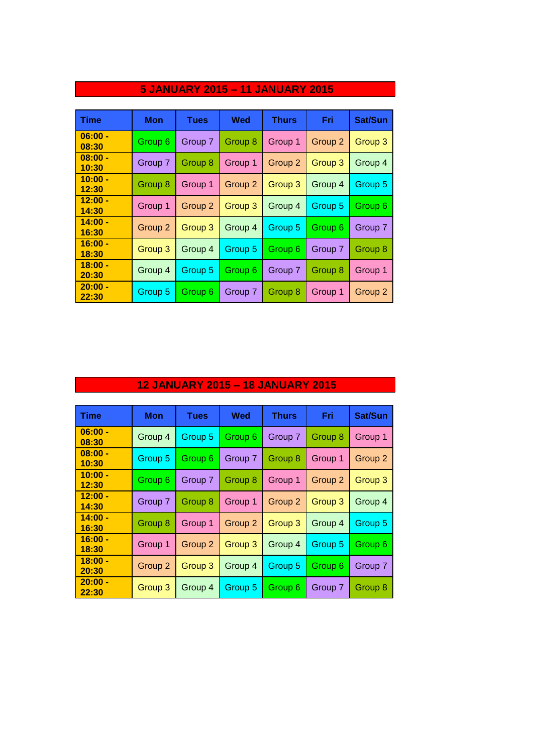| <b>Time</b>        | Mon     | <b>Tues</b> | Wed     | <b>Thurs</b> | Fri     | Sat/Sun |
|--------------------|---------|-------------|---------|--------------|---------|---------|
| $06:00 -$<br>08:30 | Group 6 | Group 7     | Group 8 | Group 1      | Group 2 | Group 3 |
| $08:00 -$<br>10:30 | Group 7 | Group 8     | Group 1 | Group 2      | Group 3 | Group 4 |
| $10:00 -$<br>12:30 | Group 8 | Group 1     | Group 2 | Group 3      | Group 4 | Group 5 |
| $12:00 -$<br>14:30 | Group 1 | Group 2     | Group 3 | Group 4      | Group 5 | Group 6 |
| $14:00 -$<br>16:30 | Group 2 | Group 3     | Group 4 | Group 5      | Group 6 | Group 7 |
| $16:00 -$<br>18:30 | Group 3 | Group 4     | Group 5 | Group 6      | Group 7 | Group 8 |
| $18:00 -$<br>20:30 | Group 4 | Group 5     | Group 6 | Group 7      | Group 8 | Group 1 |
| $20:00 -$<br>22:30 | Group 5 | Group 6     | Group 7 | Group 8      | Group 1 | Group 2 |

### **5 JANUARY 2015 – 11 JANUARY 2015**

## **12 JANUARY 2015 – 18 JANUARY 2015**

| <b>Time</b>        | Mon     | <b>Tues</b> | Wed     | <b>Thurs</b> | Fri     | Sat/Sun |
|--------------------|---------|-------------|---------|--------------|---------|---------|
| $06:00 -$<br>08:30 | Group 4 | Group 5     | Group 6 | Group 7      | Group 8 | Group 1 |
| $08:00 -$<br>10:30 | Group 5 | Group 6     | Group 7 | Group 8      | Group 1 | Group 2 |
| $10:00 -$<br>12:30 | Group 6 | Group 7     | Group 8 | Group 1      | Group 2 | Group 3 |
| $12:00 -$<br>14:30 | Group 7 | Group 8     | Group 1 | Group 2      | Group 3 | Group 4 |
| $14:00 -$<br>16:30 | Group 8 | Group 1     | Group 2 | Group 3      | Group 4 | Group 5 |
| $16:00 -$<br>18:30 | Group 1 | Group 2     | Group 3 | Group 4      | Group 5 | Group 6 |
| $18:00 -$<br>20:30 | Group 2 | Group 3     | Group 4 | Group 5      | Group 6 | Group 7 |
| $20:00 -$<br>22:30 | Group 3 | Group 4     | Group 5 | Group 6      | Group 7 | Group 8 |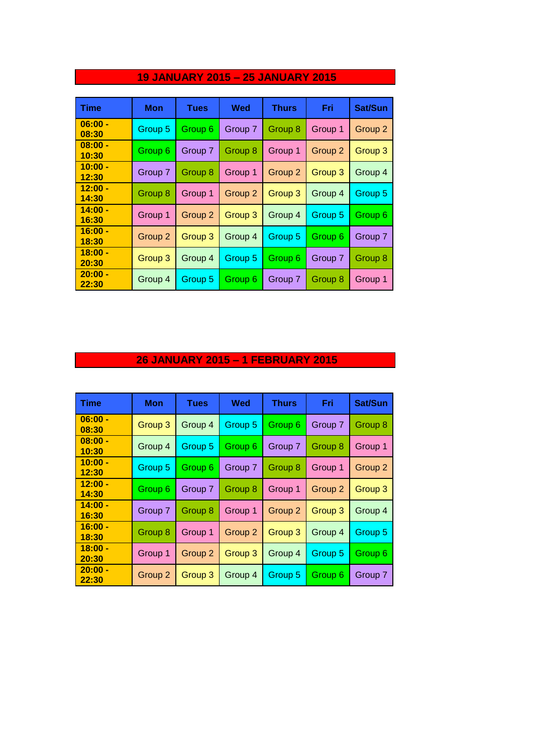| <b>Time</b>        | <b>Mon</b>         | <b>Tues</b> | Wed                | <b>Thurs</b> | Fri     | Sat/Sun |
|--------------------|--------------------|-------------|--------------------|--------------|---------|---------|
| $06:00 -$<br>08:30 | Group 5            | Group 6     | Group 7            | Group 8      | Group 1 | Group 2 |
| $08:00 -$<br>10:30 | Group 6            | Group 7     | Group 8            | Group 1      | Group 2 | Group 3 |
| $10:00 -$<br>12:30 | Group 7            | Group 8     | Group 1            | Group 2      | Group 3 | Group 4 |
| $12:00 -$<br>14:30 | Group 8            | Group 1     | Group <sub>2</sub> | Group 3      | Group 4 | Group 5 |
| $14:00 -$<br>16:30 | Group 1            | Group 2     | Group 3            | Group 4      | Group 5 | Group 6 |
| $16:00 -$<br>18:30 | Group 2            | Group 3     | Group 4            | Group 5      | Group 6 | Group 7 |
| $18:00 -$<br>20:30 | Group <sub>3</sub> | Group 4     | Group 5            | Group 6      | Group 7 | Group 8 |
| $20:00 -$<br>22:30 | Group 4            | Group 5     | Group 6            | Group 7      | Group 8 | Group 1 |

## **19 JANUARY 2015 – 25 JANUARY 2015**

### **26 JANUARY 2015 – 1 FEBRUARY 2015**

| <b>Time</b>        | Mon     | <b>Tues</b> | Wed     | <b>Thurs</b> | Fri                | Sat/Sun |
|--------------------|---------|-------------|---------|--------------|--------------------|---------|
| $06:00 -$<br>08:30 | Group 3 | Group 4     | Group 5 | Group 6      | Group 7            | Group 8 |
| $08:00 -$<br>10:30 | Group 4 | Group 5     | Group 6 | Group 7      | Group 8            | Group 1 |
| $10:00 -$<br>12:30 | Group 5 | Group 6     | Group 7 | Group 8      | Group 1            | Group 2 |
| $12:00 -$<br>14:30 | Group 6 | Group 7     | Group 8 | Group 1      | Group <sub>2</sub> | Group 3 |
| $14:00 -$<br>16:30 | Group 7 | Group 8     | Group 1 | Group 2      | Group 3            | Group 4 |
| $16:00 -$<br>18:30 | Group 8 | Group 1     | Group 2 | Group 3      | Group 4            | Group 5 |
| $18:00 -$<br>20:30 | Group 1 | Group 2     | Group 3 | Group 4      | Group 5            | Group 6 |
| $20:00 -$<br>22:30 | Group 2 | Group 3     | Group 4 | Group 5      | Group 6            | Group 7 |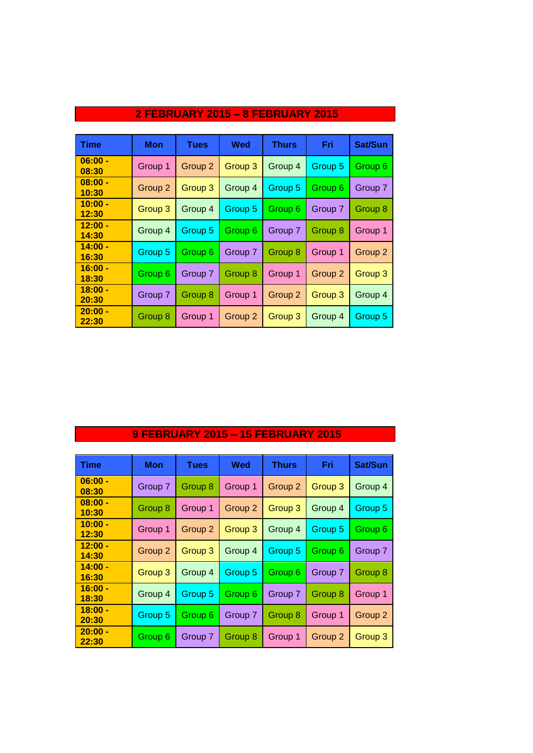| <b>Time</b>        | <b>Mon</b> | <b>Tues</b> | <b>Wed</b> | <b>Thurs</b> | Fri            | Sat/Sun |
|--------------------|------------|-------------|------------|--------------|----------------|---------|
| $06:00 -$<br>08:30 | Group 1    | Group 2     | Group 3    | Group 4      | Group 5        | Group 6 |
| $08:00 -$<br>10:30 | Group 2    | Group 3     | Group 4    | Group 5      | Group 6        | Group 7 |
| $10:00 -$<br>12:30 | Group 3    | Group 4     | Group 5    | Group 6      | Group 7        | Group 8 |
| $12:00 -$<br>14:30 | Group 4    | Group 5     | Group 6    | Group 7      | <b>Group 8</b> | Group 1 |
| $14:00 -$<br>16:30 | Group 5    | Group 6     | Group 7    | Group 8      | Group 1        | Group 2 |
| $16:00 -$<br>18:30 | Group 6    | Group 7     | Group 8    | Group 1      | Group 2        | Group 3 |
| $18:00 -$<br>20:30 | Group 7    | Group 8     | Group 1    | Group 2      | Group 3        | Group 4 |
| $20:00 -$<br>22:30 | Group 8    | Group 1     | Group 2    | Group 3      | Group 4        | Group 5 |

#### **2 FEBRUARY 2015 – 8 FEBRUARY 2015**

## **9 FEBRUARY 2015 – 15 FEBRUARY 2015**

| Time               | Mon     | <b>Tues</b> | Wed                | <b>Thurs</b> | Fri     | <b>Sat/Sun</b> |
|--------------------|---------|-------------|--------------------|--------------|---------|----------------|
| $06:00 -$<br>08:30 | Group 7 | Group 8     | Group 1            | Group 2      | Group 3 | Group 4        |
| $08:00 -$<br>10:30 | Group 8 | Group 1     | Group <sub>2</sub> | Group 3      | Group 4 | Group 5        |
| $10:00 -$<br>12:30 | Group 1 | Group 2     | Group 3            | Group 4      | Group 5 | Group 6        |
| $12:00 -$<br>14:30 | Group 2 | Group 3     | Group 4            | Group 5      | Group 6 | Group 7        |
| $14:00 -$<br>16:30 | Group 3 | Group 4     | Group 5            | Group 6      | Group 7 | Group 8        |
| $16:00 -$<br>18:30 | Group 4 | Group 5     | Group 6            | Group 7      | Group 8 | Group 1        |
| $18:00 -$<br>20:30 | Group 5 | Group 6     | Group 7            | Group 8      | Group 1 | Group 2        |
| $20:00 -$<br>22:30 | Group 6 | Group 7     | Group 8            | Group 1      | Group 2 | Group 3        |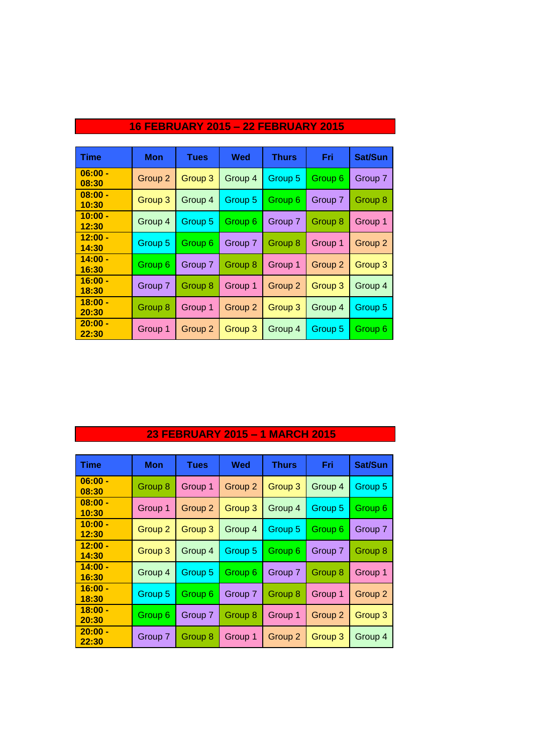| Time               | <b>Mon</b> | <b>Tues</b> | Wed     | <b>Thurs</b>       | Fri     | Sat/Sun |
|--------------------|------------|-------------|---------|--------------------|---------|---------|
| $06:00 -$<br>08:30 | Group 2    | Group 3     | Group 4 | Group 5            | Group 6 | Group 7 |
| $08:00 -$<br>10:30 | Group 3    | Group 4     | Group 5 | Group 6            | Group 7 | Group 8 |
| $10:00 -$<br>12:30 | Group 4    | Group 5     | Group 6 | Group 7            | Group 8 | Group 1 |
| $12:00 -$<br>14:30 | Group 5    | Group 6     | Group 7 | Group 8            | Group 1 | Group 2 |
| $14:00 -$<br>16:30 | Group 6    | Group 7     | Group 8 | Group 1            | Group 2 | Group 3 |
| $16:00 -$<br>18:30 | Group 7    | Group 8     | Group 1 | Group <sub>2</sub> | Group 3 | Group 4 |
| $18:00 -$<br>20:30 | Group 8    | Group 1     | Group 2 | Group 3            | Group 4 | Group 5 |
| $20:00 -$<br>22:30 | Group 1    | Group 2     | Group 3 | Group 4            | Group 5 | Group 6 |

## **16 FEBRUARY 2015 – 22 FEBRUARY 2015**

### **23 FEBRUARY 2015 – 1 MARCH 2015**

| Time               | Mon     | <b>Tues</b>        | Wed                | Thurs              | Fri                | <b>Sat/Sun</b> |
|--------------------|---------|--------------------|--------------------|--------------------|--------------------|----------------|
| $06:00 -$<br>08:30 | Group 8 | Group 1            | Group <sub>2</sub> | Group 3            | Group 4            | Group 5        |
| $08:00 -$<br>10:30 | Group 1 | Group <sub>2</sub> | Group 3            | Group 4            | Group 5            | Group 6        |
| $10:00 -$<br>12:30 | Group 2 | Group 3            | Group 4            | Group 5            | Group 6            | Group 7        |
| $12:00 -$<br>14:30 | Group 3 | Group 4            | Group 5            | Group 6            | Group 7            | Group 8        |
| $14:00 -$<br>16:30 | Group 4 | Group 5            | Group 6            | Group 7            | Group 8            | Group 1        |
| $16:00 -$<br>18:30 | Group 5 | Group 6            | Group 7            | Group 8            | Group 1            | Group 2        |
| $18:00 -$<br>20:30 | Group 6 | Group 7            | Group 8            | Group 1            | Group <sub>2</sub> | Group 3        |
| $20:00 -$<br>22:30 | Group 7 | Group 8            | Group 1            | Group <sub>2</sub> | Group 3            | Group 4        |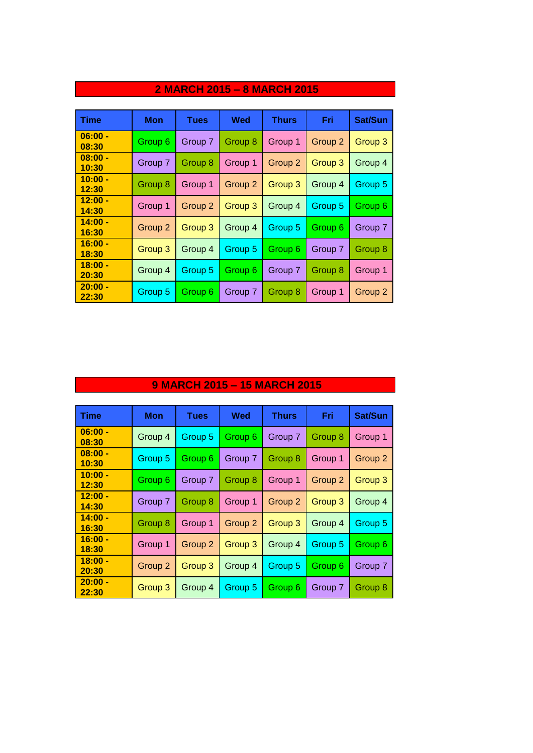| <b>Time</b>        | Mon     | <b>Tues</b> | Wed     | <b>Thurs</b> | Fri     | Sat/Sun            |
|--------------------|---------|-------------|---------|--------------|---------|--------------------|
| $06:00 -$<br>08:30 | Group 6 | Group 7     | Group 8 | Group 1      | Group 2 | Group 3            |
| $08:00 -$<br>10:30 | Group 7 | Group 8     | Group 1 | Group 2      | Group 3 | Group 4            |
| $10:00 -$<br>12:30 | Group 8 | Group 1     | Group 2 | Group 3      | Group 4 | Group 5            |
| $12:00 -$<br>14:30 | Group 1 | Group 2     | Group 3 | Group 4      | Group 5 | Group 6            |
| $14:00 -$<br>16:30 | Group 2 | Group 3     | Group 4 | Group 5      | Group 6 | Group 7            |
| $16:00 -$<br>18:30 | Group 3 | Group 4     | Group 5 | Group 6      | Group 7 | Group 8            |
| $18:00 -$<br>20:30 | Group 4 | Group 5     | Group 6 | Group 7      | Group 8 | Group 1            |
| $20:00 -$<br>22:30 | Group 5 | Group 6     | Group 7 | Group 8      | Group 1 | Group <sub>2</sub> |

### **2 MARCH 2015 – 8 MARCH 2015**

### **9 MARCH 2015 – 15 MARCH 2015**

| <b>Time</b>        | Mon     | <b>Tues</b> | Wed     | <b>Thurs</b>       | Fri                | Sat/Sun            |
|--------------------|---------|-------------|---------|--------------------|--------------------|--------------------|
| $06:00 -$<br>08:30 | Group 4 | Group 5     | Group 6 | Group 7            | Group 8            | Group 1            |
| $08:00 -$<br>10:30 | Group 5 | Group 6     | Group 7 | Group 8            | Group 1            | Group 2            |
| $10:00 -$<br>12:30 | Group 6 | Group 7     | Group 8 | Group 1            | Group <sub>2</sub> | Group <sub>3</sub> |
| $12:00 -$<br>14:30 | Group 7 | Group 8     | Group 1 | Group <sub>2</sub> | Group 3            | Group 4            |
| $14:00 -$<br>16:30 | Group 8 | Group 1     | Group 2 | Group 3            | Group 4            | Group 5            |
| $16:00 -$<br>18:30 | Group 1 | Group 2     | Group 3 | Group 4            | Group 5            | Group 6            |
| $18:00 -$<br>20:30 | Group 2 | Group 3     | Group 4 | Group 5            | Group 6            | Group 7            |
| $20:00 -$<br>22:30 | Group 3 | Group 4     | Group 5 | Group 6            | Group 7            | Group 8            |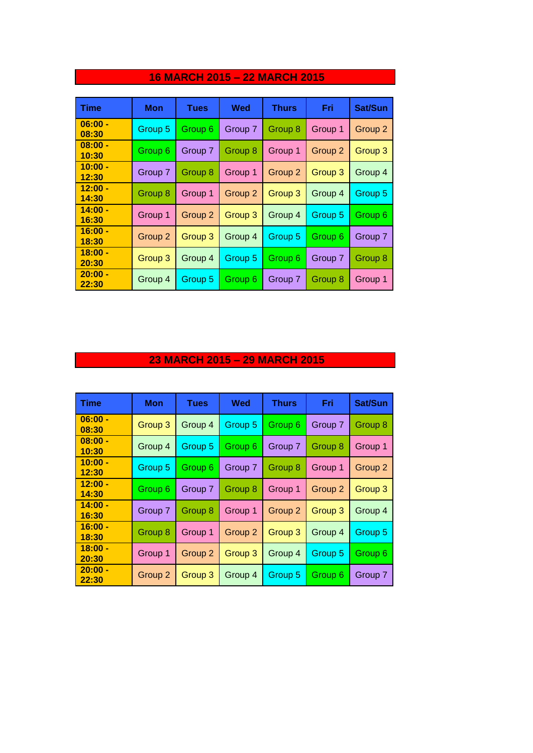| Time               | <b>Mon</b> | Tues               | Wed     | Thurs   | Fri                | Sat/Sun |
|--------------------|------------|--------------------|---------|---------|--------------------|---------|
| $06:00 -$<br>08:30 | Group 5    | Group 6            | Group 7 | Group 8 | Group 1            | Group 2 |
| $08:00 -$<br>10:30 | Group 6    | Group 7            | Group 8 | Group 1 | Group <sub>2</sub> | Group 3 |
| $10:00 -$<br>12:30 | Group 7    | Group 8            | Group 1 | Group 2 | Group 3            | Group 4 |
| $12:00 -$<br>14:30 | Group 8    | Group 1            | Group 2 | Group 3 | Group 4            | Group 5 |
| $14:00 -$<br>16:30 | Group 1    | Group <sub>2</sub> | Group 3 | Group 4 | Group 5            | Group 6 |
| $16:00 -$<br>18:30 | Group 2    | Group 3            | Group 4 | Group 5 | Group 6            | Group 7 |
| $18:00 -$<br>20:30 | Group 3    | Group 4            | Group 5 | Group 6 | Group 7            | Group 8 |
| $20:00 -$<br>22:30 | Group 4    | Group 5            | Group 6 | Group 7 | Group 8            | Group 1 |

## **16 MARCH 2015 – 22 MARCH 2015**

### **23 MARCH 2015 – 29 MARCH 2015**

| <b>Time</b>        | Mon     | <b>Tues</b> | Wed     | <b>Thurs</b> | Fri                | Sat/Sun |
|--------------------|---------|-------------|---------|--------------|--------------------|---------|
| $06:00 -$<br>08:30 | Group 3 | Group 4     | Group 5 | Group 6      | Group 7            | Group 8 |
| $08:00 -$<br>10:30 | Group 4 | Group 5     | Group 6 | Group 7      | Group 8            | Group 1 |
| $10:00 -$<br>12:30 | Group 5 | Group 6     | Group 7 | Group 8      | Group 1            | Group 2 |
| $12:00 -$<br>14:30 | Group 6 | Group 7     | Group 8 | Group 1      | Group 2            | Group 3 |
| $14:00 -$<br>16:30 | Group 7 | Group 8     | Group 1 | Group 2      | Group 3            | Group 4 |
| $16:00 -$<br>18:30 | Group 8 | Group 1     | Group 2 | Group 3      | Group 4            | Group 5 |
| $18:00 -$<br>20:30 | Group 1 | Group 2     | Group 3 | Group 4      | Group 5            | Group 6 |
| $20:00 -$<br>22:30 | Group 2 | Group 3     | Group 4 | Group 5      | Group <sub>6</sub> | Group 7 |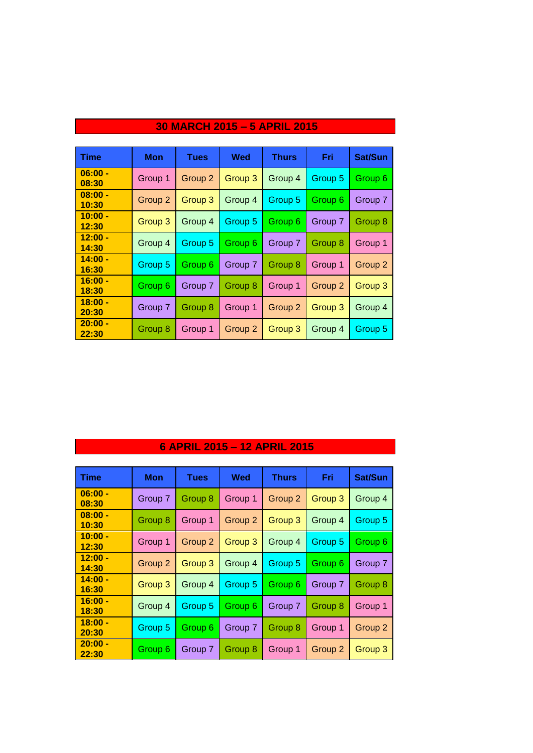| <b>Time</b>        | Mon     | <b>Tues</b> | Wed                | <b>Thurs</b>       | Fri     | Sat/Sun |
|--------------------|---------|-------------|--------------------|--------------------|---------|---------|
| $06:00 -$<br>08:30 | Group 1 | Group 2     | Group 3            | Group 4            | Group 5 | Group 6 |
| $08:00 -$<br>10:30 | Group 2 | Group 3     | Group 4            | Group 5            | Group 6 | Group 7 |
| $10:00 -$<br>12:30 | Group 3 | Group 4     | Group 5            | Group 6            | Group 7 | Group 8 |
| $12:00 -$<br>14:30 | Group 4 | Group 5     | Group 6            | Group 7            | Group 8 | Group 1 |
| $14:00 -$<br>16:30 | Group 5 | Group 6     | Group 7            | Group 8            | Group 1 | Group 2 |
| $16:00 -$<br>18:30 | Group 6 | Group 7     | Group 8            | Group 1            | Group 2 | Group 3 |
| $18:00 -$<br>20:30 | Group 7 | Group 8     | Group 1            | Group <sub>2</sub> | Group 3 | Group 4 |
| $20:00 -$<br>22:30 | Group 8 | Group 1     | Group <sub>2</sub> | Group 3            | Group 4 | Group 5 |

## **30 MARCH 2015 – 5 APRIL 2015**

### **6 APRIL 2015 – 12 APRIL 2015**

| <b>Time</b>        | <b>Mon</b> | <b>Tues</b> | Wed     | <b>Thurs</b> | Fri     | Sat/Sun            |
|--------------------|------------|-------------|---------|--------------|---------|--------------------|
| $06:00 -$<br>08:30 | Group 7    | Group 8     | Group 1 | Group 2      | Group 3 | Group 4            |
| $08:00 -$<br>10:30 | Group 8    | Group 1     | Group 2 | Group 3      | Group 4 | Group 5            |
| $10:00 -$<br>12:30 | Group 1    | Group 2     | Group 3 | Group 4      | Group 5 | Group <sub>6</sub> |
| $12:00 -$<br>14:30 | Group 2    | Group 3     | Group 4 | Group 5      | Group 6 | Group 7            |
| $14:00 -$<br>16:30 | Group 3    | Group 4     | Group 5 | Group 6      | Group 7 | Group 8            |
| $16:00 -$<br>18:30 | Group 4    | Group 5     | Group 6 | Group 7      | Group 8 | Group 1            |
| $18:00 -$<br>20:30 | Group 5    | Group 6     | Group 7 | Group 8      | Group 1 | Group 2            |
| $20:00 -$<br>22:30 | Group 6    | Group 7     | Group 8 | Group 1      | Group 2 | Group 3            |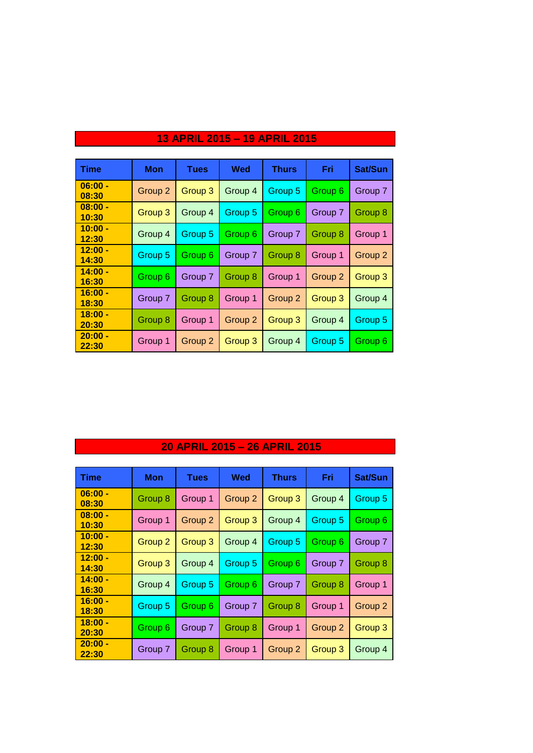| <b>Time</b>        | Mon     | <b>Tues</b> | Wed                | <b>Thurs</b> | Fri     | <b>Sat/Sun</b> |
|--------------------|---------|-------------|--------------------|--------------|---------|----------------|
| $06:00 -$<br>08:30 | Group 2 | Group 3     | Group 4            | Group 5      | Group 6 | Group 7        |
| $08:00 -$<br>10:30 | Group 3 | Group 4     | Group 5            | Group 6      | Group 7 | Group 8        |
| $10:00 -$<br>12:30 | Group 4 | Group 5     | Group 6            | Group 7      | Group 8 | Group 1        |
| $12:00 -$<br>14:30 | Group 5 | Group 6     | Group 7            | Group 8      | Group 1 | Group 2        |
| $14:00 -$<br>16:30 | Group 6 | Group 7     | Group 8            | Group 1      | Group 2 | Group 3        |
| $16:00 -$<br>18:30 | Group 7 | Group 8     | Group 1            | Group 2      | Group 3 | Group 4        |
| $18:00 -$<br>20:30 | Group 8 | Group 1     | Group <sub>2</sub> | Group 3      | Group 4 | Group 5        |
| $20:00 -$<br>22:30 | Group 1 | Group 2     | Group 3            | Group 4      | Group 5 | Group 6        |

## **13 APRIL 2015 – 19 APRIL 2015**

### **20 APRIL 2015 – 26 APRIL 2015**

| <b>Time</b>        | <b>Mon</b> | <b>Tues</b>        | Wed     | <b>Thurs</b> | Fri                | Sat/Sun |
|--------------------|------------|--------------------|---------|--------------|--------------------|---------|
| $06:00 -$<br>08:30 | Group 8    | Group 1            | Group 2 | Group 3      | Group 4            | Group 5 |
| $08:00 -$<br>10:30 | Group 1    | Group <sub>2</sub> | Group 3 | Group 4      | Group 5            | Group 6 |
| $10:00 -$<br>12:30 | Group 2    | Group 3            | Group 4 | Group 5      | Group 6            | Group 7 |
| $12:00 -$<br>14:30 | Group 3    | Group 4            | Group 5 | Group 6      | Group 7            | Group 8 |
| $14:00 -$<br>16:30 | Group 4    | Group 5            | Group 6 | Group 7      | Group 8            | Group 1 |
| $16:00 -$<br>18:30 | Group 5    | Group 6            | Group 7 | Group 8      | Group 1            | Group 2 |
| $18:00 -$<br>20:30 | Group 6    | Group 7            | Group 8 | Group 1      | Group <sub>2</sub> | Group 3 |
| $20:00 -$<br>22:30 | Group 7    | Group 8            | Group 1 | Group 2      | Group 3            | Group 4 |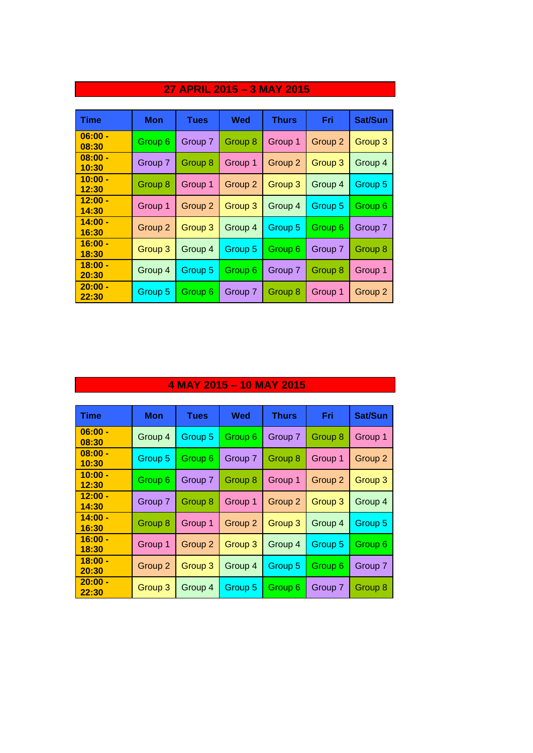| <b>Time</b>        | Mon     | <b>Tues</b> | Wed     | <b>Thurs</b> | Fri                | Sat/Sun |
|--------------------|---------|-------------|---------|--------------|--------------------|---------|
| $06:00 -$<br>08:30 | Group 6 | Group 7     | Group 8 | Group 1      | Group <sub>2</sub> | Group 3 |
| $08:00 -$<br>10:30 | Group 7 | Group 8     | Group 1 | Group 2      | Group 3            | Group 4 |
| $10:00 -$<br>12:30 | Group 8 | Group 1     | Group 2 | Group 3      | Group 4            | Group 5 |
| $12:00 -$<br>14:30 | Group 1 | Group 2     | Group 3 | Group 4      | Group 5            | Group 6 |
| $14:00 -$<br>16:30 | Group 2 | Group 3     | Group 4 | Group 5      | Group 6            | Group 7 |
| $16:00 -$<br>18:30 | Group 3 | Group 4     | Group 5 | Group 6      | Group 7            | Group 8 |
| $18:00 -$<br>20:30 | Group 4 | Group 5     | Group 6 | Group 7      | Group 8            | Group 1 |
| $20:00 -$<br>22:30 | Group 5 | Group 6     | Group 7 | Group 8      | Group 1            | Group 2 |

### **27 APRIL 2015 – 3 MAY 2015**

### **4 MAY 2015 – 10 MAY 2015**

| <b>Time</b>        | Mon     | <b>Tues</b> | Wed     | <b>Thurs</b> | Fri     | Sat/Sun |
|--------------------|---------|-------------|---------|--------------|---------|---------|
| $06:00 -$<br>08:30 | Group 4 | Group 5     | Group 6 | Group 7      | Group 8 | Group 1 |
| $08:00 -$<br>10:30 | Group 5 | Group 6     | Group 7 | Group 8      | Group 1 | Group 2 |
| $10:00 -$<br>12:30 | Group 6 | Group 7     | Group 8 | Group 1      | Group 2 | Group 3 |
| $12:00 -$<br>14:30 | Group 7 | Group 8     | Group 1 | Group 2      | Group 3 | Group 4 |
| $14:00 -$<br>16:30 | Group 8 | Group 1     | Group 2 | Group 3      | Group 4 | Group 5 |
| $16:00 -$<br>18:30 | Group 1 | Group 2     | Group 3 | Group 4      | Group 5 | Group 6 |
| $18:00 -$<br>20:30 | Group 2 | Group 3     | Group 4 | Group 5      | Group 6 | Group 7 |
| $20:00 -$<br>22:30 | Group 3 | Group 4     | Group 5 | Group 6      | Group 7 | Group 8 |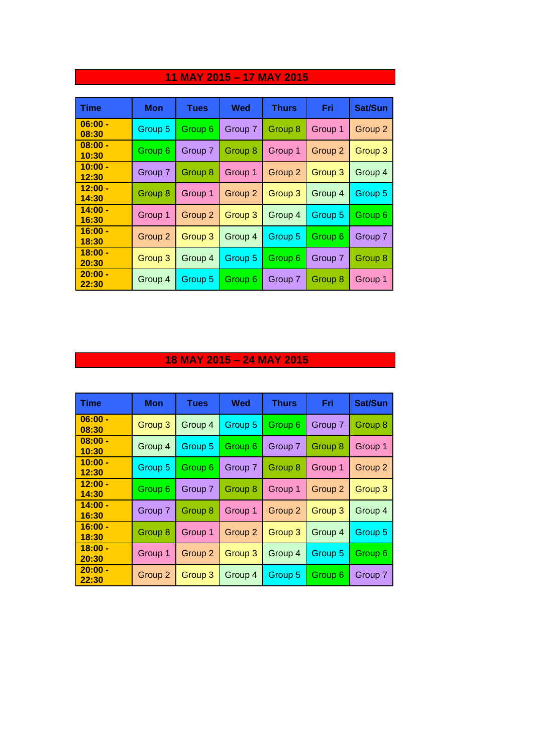| <b>Time</b>        | <b>Mon</b> | <b>Tues</b> | Wed     | <b>Thurs</b>       | Fri                | Sat/Sun |
|--------------------|------------|-------------|---------|--------------------|--------------------|---------|
| $06:00 -$<br>08:30 | Group 5    | Group 6     | Group 7 | Group 8            | Group 1            | Group 2 |
| $08:00 -$<br>10:30 | Group 6    | Group 7     | Group 8 | Group 1            | Group <sub>2</sub> | Group 3 |
| $10:00 -$<br>12:30 | Group 7    | Group 8     | Group 1 | Group <sub>2</sub> | Group 3            | Group 4 |
| $12:00 -$<br>14:30 | Group 8    | Group 1     | Group 2 | Group 3            | Group 4            | Group 5 |
| $14:00 -$<br>16:30 | Group 1    | Group 2     | Group 3 | Group 4            | Group 5            | Group 6 |
| $16:00 -$<br>18:30 | Group 2    | Group 3     | Group 4 | Group 5            | Group 6            | Group 7 |
| $18:00 -$<br>20:30 | Group 3    | Group 4     | Group 5 | Group 6            | Group 7            | Group 8 |
| $20:00 -$<br>22:30 | Group 4    | Group 5     | Group 6 | Group 7            | Group 8            | Group 1 |

# **11 MAY 2015 – 17 MAY 2015**

### **18 MAY 2015 – 24 MAY 2015**

| <b>Time</b>        | Mon     | <b>Tues</b> | Wed     | <b>Thurs</b> | Fri                | Sat/Sun |
|--------------------|---------|-------------|---------|--------------|--------------------|---------|
| $06:00 -$<br>08:30 | Group 3 | Group 4     | Group 5 | Group 6      | Group 7            | Group 8 |
| $08:00 -$<br>10:30 | Group 4 | Group 5     | Group 6 | Group 7      | Group 8            | Group 1 |
| $10:00 -$<br>12:30 | Group 5 | Group 6     | Group 7 | Group 8      | Group 1            | Group 2 |
| $12:00 -$<br>14:30 | Group 6 | Group 7     | Group 8 | Group 1      | Group 2            | Group 3 |
| $14:00 -$<br>16:30 | Group 7 | Group 8     | Group 1 | Group 2      | Group 3            | Group 4 |
| $16:00 -$<br>18:30 | Group 8 | Group 1     | Group 2 | Group 3      | Group 4            | Group 5 |
| $18:00 -$<br>20:30 | Group 1 | Group 2     | Group 3 | Group 4      | Group 5            | Group 6 |
| $20:00 -$<br>22:30 | Group 2 | Group 3     | Group 4 | Group 5      | Group <sub>6</sub> | Group 7 |